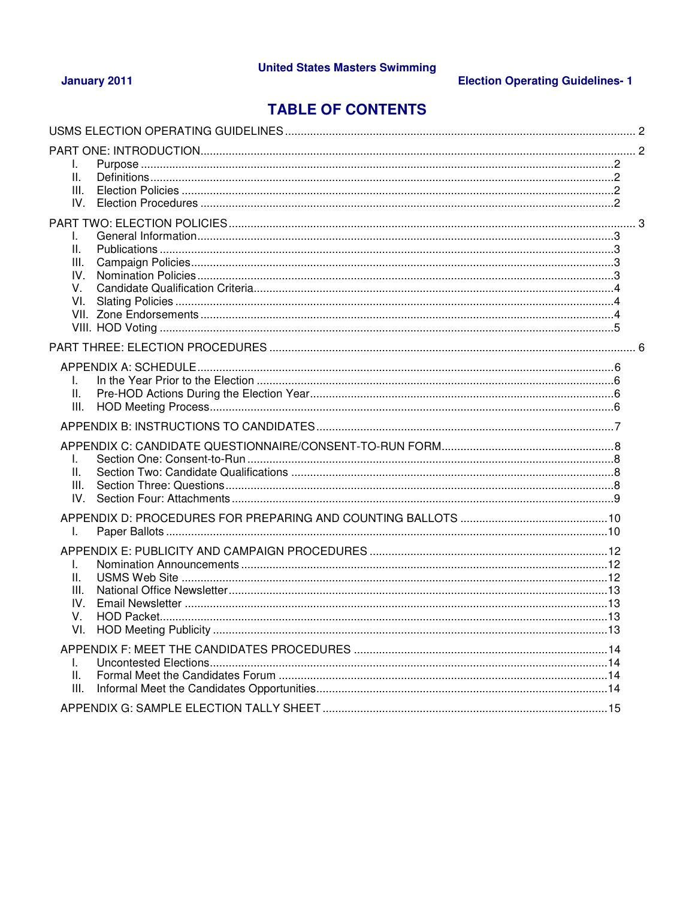## January 2011

# **Election Operating Guidelines-1**

# **TABLE OF CONTENTS**

| T.<br>Ш.<br>III.                           |  |
|--------------------------------------------|--|
| Ш.<br>III.<br>IV.<br>V.<br>VI.             |  |
| L.<br>Ш.<br>III.                           |  |
| L.<br>Ш.<br>III.<br>$IV_{-}$               |  |
| L.<br>Τ.<br>Ш.<br>III.<br>IV.<br>V.<br>VI. |  |
| L.<br>Ш.<br>III.                           |  |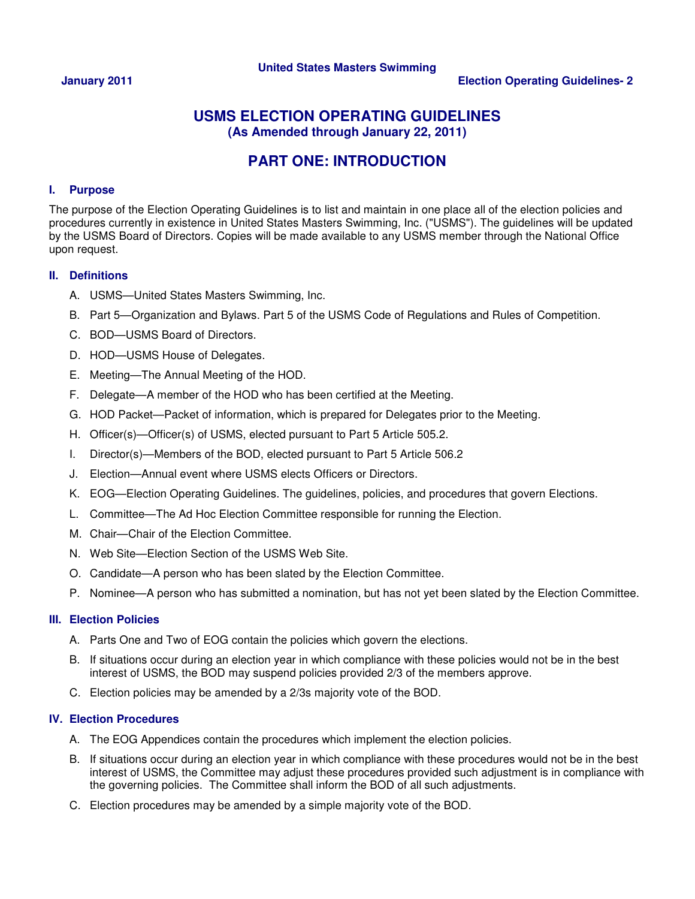## **USMS ELECTION OPERATING GUIDELINES (As Amended through January 22, 2011)**

# **PART ONE: INTRODUCTION**

### **I. Purpose**

The purpose of the Election Operating Guidelines is to list and maintain in one place all of the election policies and procedures currently in existence in United States Masters Swimming, Inc. ("USMS"). The guidelines will be updated by the USMS Board of Directors. Copies will be made available to any USMS member through the National Office upon request.

### **II. Definitions**

- A. USMS—United States Masters Swimming, Inc.
- B. Part 5—Organization and Bylaws. Part 5 of the USMS Code of Regulations and Rules of Competition.
- C. BOD—USMS Board of Directors.
- D. HOD—USMS House of Delegates.
- E. Meeting—The Annual Meeting of the HOD.
- F. Delegate—A member of the HOD who has been certified at the Meeting.
- G. HOD Packet—Packet of information, which is prepared for Delegates prior to the Meeting.
- H. Officer(s)—Officer(s) of USMS, elected pursuant to Part 5 Article 505.2.
- I. Director(s)—Members of the BOD, elected pursuant to Part 5 Article 506.2
- J. Election—Annual event where USMS elects Officers or Directors.
- K. EOG—Election Operating Guidelines. The guidelines, policies, and procedures that govern Elections.
- L. Committee—The Ad Hoc Election Committee responsible for running the Election.
- M. Chair—Chair of the Election Committee.
- N. Web Site—Election Section of the USMS Web Site.
- O. Candidate—A person who has been slated by the Election Committee.
- P. Nominee—A person who has submitted a nomination, but has not yet been slated by the Election Committee.

### **III. Election Policies**

- A. Parts One and Two of EOG contain the policies which govern the elections.
- B. If situations occur during an election year in which compliance with these policies would not be in the best interest of USMS, the BOD may suspend policies provided 2/3 of the members approve.
- C. Election policies may be amended by a 2/3s majority vote of the BOD.

### **IV. Election Procedures**

- A. The EOG Appendices contain the procedures which implement the election policies.
- B. If situations occur during an election year in which compliance with these procedures would not be in the best interest of USMS, the Committee may adjust these procedures provided such adjustment is in compliance with the governing policies. The Committee shall inform the BOD of all such adjustments.
- C. Election procedures may be amended by a simple majority vote of the BOD.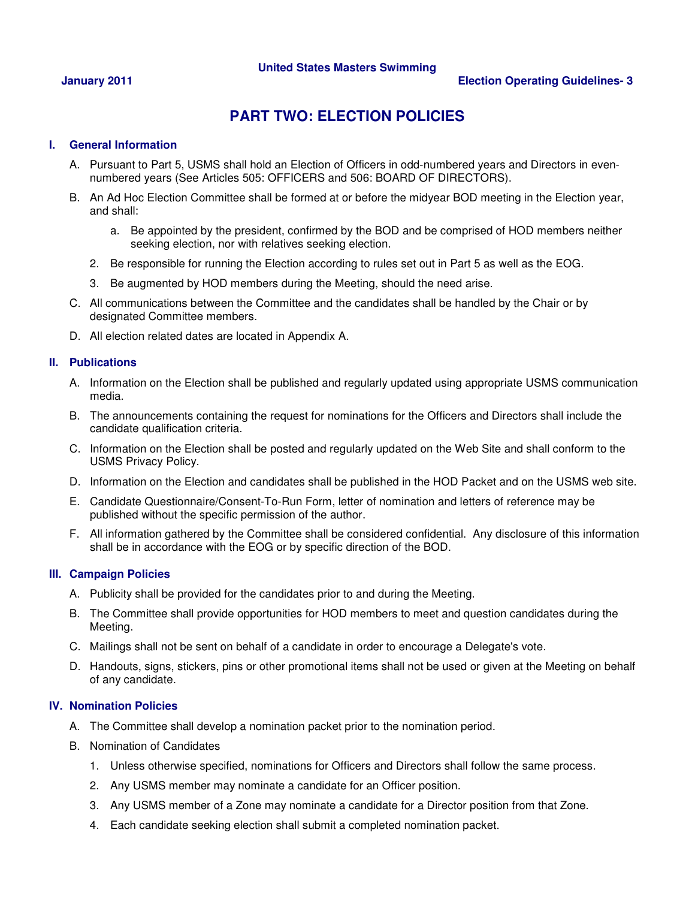### **January 2011 Election Operating Guidelines- 3**

# **PART TWO: ELECTION POLICIES**

### **I. General Information**

- A. Pursuant to Part 5, USMS shall hold an Election of Officers in odd-numbered years and Directors in evennumbered years (See Articles 505: OFFICERS and 506: BOARD OF DIRECTORS).
- B. An Ad Hoc Election Committee shall be formed at or before the midyear BOD meeting in the Election year, and shall:
	- a. Be appointed by the president, confirmed by the BOD and be comprised of HOD members neither seeking election, nor with relatives seeking election.
	- 2. Be responsible for running the Election according to rules set out in Part 5 as well as the EOG.
	- 3. Be augmented by HOD members during the Meeting, should the need arise.
- C. All communications between the Committee and the candidates shall be handled by the Chair or by designated Committee members.
- D. All election related dates are located in Appendix A.

### **II. Publications**

- A. Information on the Election shall be published and regularly updated using appropriate USMS communication media.
- B. The announcements containing the request for nominations for the Officers and Directors shall include the candidate qualification criteria.
- C. Information on the Election shall be posted and regularly updated on the Web Site and shall conform to the USMS Privacy Policy.
- D. Information on the Election and candidates shall be published in the HOD Packet and on the USMS web site.
- E. Candidate Questionnaire/Consent-To-Run Form, letter of nomination and letters of reference may be published without the specific permission of the author.
- F. All information gathered by the Committee shall be considered confidential. Any disclosure of this information shall be in accordance with the EOG or by specific direction of the BOD.

### **III. Campaign Policies**

- A. Publicity shall be provided for the candidates prior to and during the Meeting.
- B. The Committee shall provide opportunities for HOD members to meet and question candidates during the Meeting.
- C. Mailings shall not be sent on behalf of a candidate in order to encourage a Delegate's vote.
- D. Handouts, signs, stickers, pins or other promotional items shall not be used or given at the Meeting on behalf of any candidate.

### **IV. Nomination Policies**

- A. The Committee shall develop a nomination packet prior to the nomination period.
- B. Nomination of Candidates
	- 1. Unless otherwise specified, nominations for Officers and Directors shall follow the same process.
	- 2. Any USMS member may nominate a candidate for an Officer position.
	- 3. Any USMS member of a Zone may nominate a candidate for a Director position from that Zone.
	- 4. Each candidate seeking election shall submit a completed nomination packet.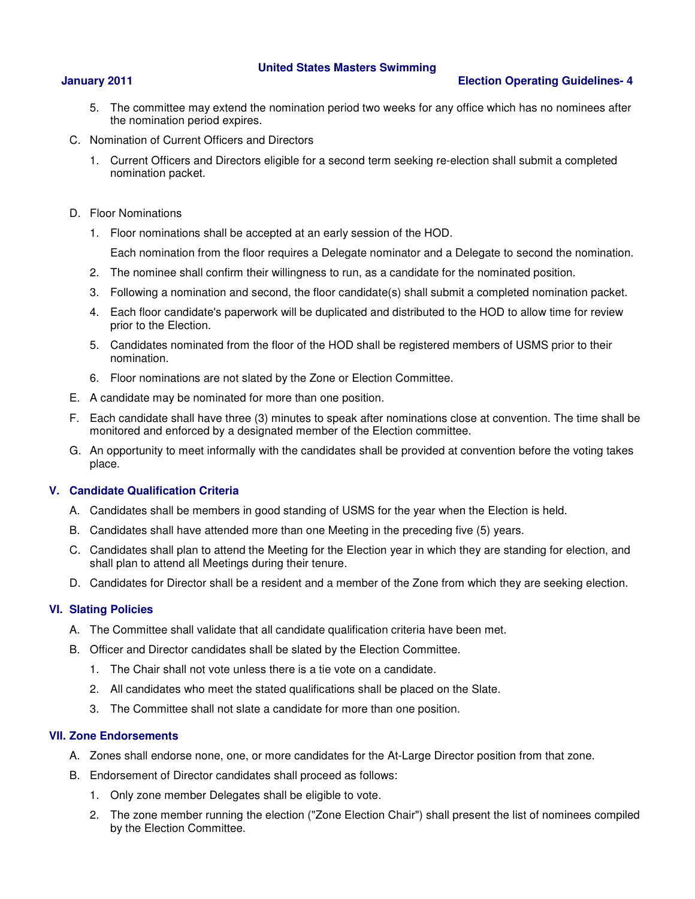### **January 2011 Election Operating Guidelines- 4**

- 5. The committee may extend the nomination period two weeks for any office which has no nominees after the nomination period expires.
- C. Nomination of Current Officers and Directors
	- 1. Current Officers and Directors eligible for a second term seeking re-election shall submit a completed nomination packet.
- D. Floor Nominations
	- 1. Floor nominations shall be accepted at an early session of the HOD.

Each nomination from the floor requires a Delegate nominator and a Delegate to second the nomination.

- 2. The nominee shall confirm their willingness to run, as a candidate for the nominated position.
- 3. Following a nomination and second, the floor candidate(s) shall submit a completed nomination packet.
- 4. Each floor candidate's paperwork will be duplicated and distributed to the HOD to allow time for review prior to the Election.
- 5. Candidates nominated from the floor of the HOD shall be registered members of USMS prior to their nomination.
- 6. Floor nominations are not slated by the Zone or Election Committee.
- E. A candidate may be nominated for more than one position.
- F. Each candidate shall have three (3) minutes to speak after nominations close at convention. The time shall be monitored and enforced by a designated member of the Election committee.
- G. An opportunity to meet informally with the candidates shall be provided at convention before the voting takes place.

### **V. Candidate Qualification Criteria**

- A. Candidates shall be members in good standing of USMS for the year when the Election is held.
- B. Candidates shall have attended more than one Meeting in the preceding five (5) years.
- C. Candidates shall plan to attend the Meeting for the Election year in which they are standing for election, and shall plan to attend all Meetings during their tenure.
- D. Candidates for Director shall be a resident and a member of the Zone from which they are seeking election.

### **VI. Slating Policies**

- A. The Committee shall validate that all candidate qualification criteria have been met.
- B. Officer and Director candidates shall be slated by the Election Committee.
	- 1. The Chair shall not vote unless there is a tie vote on a candidate.
	- 2. All candidates who meet the stated qualifications shall be placed on the Slate.
	- 3. The Committee shall not slate a candidate for more than one position.

### **VII. Zone Endorsements**

- A. Zones shall endorse none, one, or more candidates for the At-Large Director position from that zone.
- B. Endorsement of Director candidates shall proceed as follows:
	- 1. Only zone member Delegates shall be eligible to vote.
	- 2. The zone member running the election ("Zone Election Chair") shall present the list of nominees compiled by the Election Committee.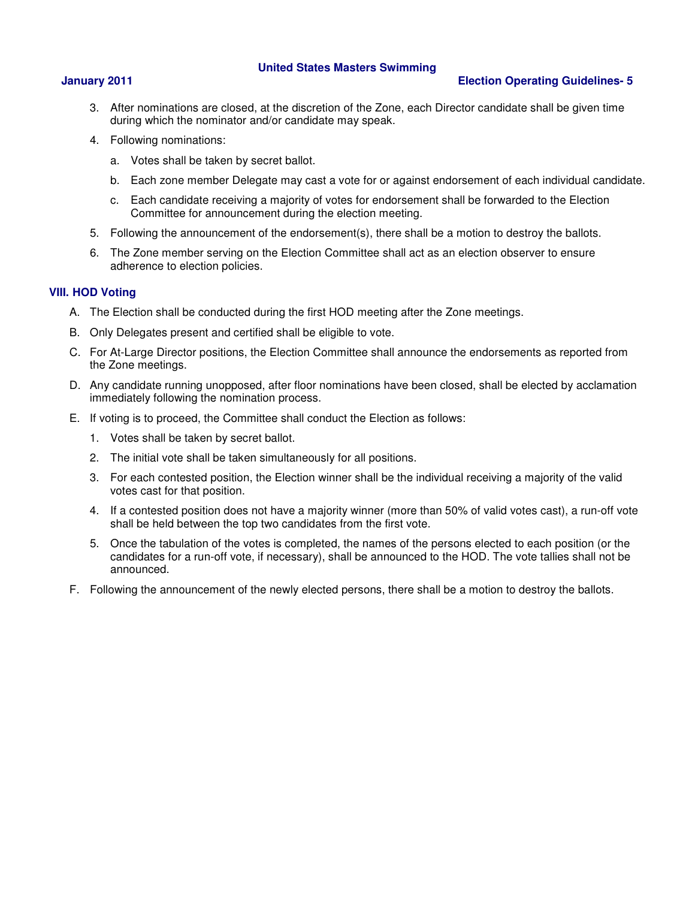### **January 2011 Election Operating Guidelines- 5**

- 3. After nominations are closed, at the discretion of the Zone, each Director candidate shall be given time during which the nominator and/or candidate may speak.
- 4. Following nominations:
	- a. Votes shall be taken by secret ballot.
	- b. Each zone member Delegate may cast a vote for or against endorsement of each individual candidate.
	- c. Each candidate receiving a majority of votes for endorsement shall be forwarded to the Election Committee for announcement during the election meeting.
- 5. Following the announcement of the endorsement(s), there shall be a motion to destroy the ballots.
- 6. The Zone member serving on the Election Committee shall act as an election observer to ensure adherence to election policies.

### **VIII. HOD Voting**

- A. The Election shall be conducted during the first HOD meeting after the Zone meetings.
- B. Only Delegates present and certified shall be eligible to vote.
- C. For At-Large Director positions, the Election Committee shall announce the endorsements as reported from the Zone meetings.
- D. Any candidate running unopposed, after floor nominations have been closed, shall be elected by acclamation immediately following the nomination process.
- E. If voting is to proceed, the Committee shall conduct the Election as follows:
	- 1. Votes shall be taken by secret ballot.
	- 2. The initial vote shall be taken simultaneously for all positions.
	- 3. For each contested position, the Election winner shall be the individual receiving a majority of the valid votes cast for that position.
	- 4. If a contested position does not have a majority winner (more than 50% of valid votes cast), a run-off vote shall be held between the top two candidates from the first vote.
	- 5. Once the tabulation of the votes is completed, the names of the persons elected to each position (or the candidates for a run-off vote, if necessary), shall be announced to the HOD. The vote tallies shall not be announced.
- F. Following the announcement of the newly elected persons, there shall be a motion to destroy the ballots.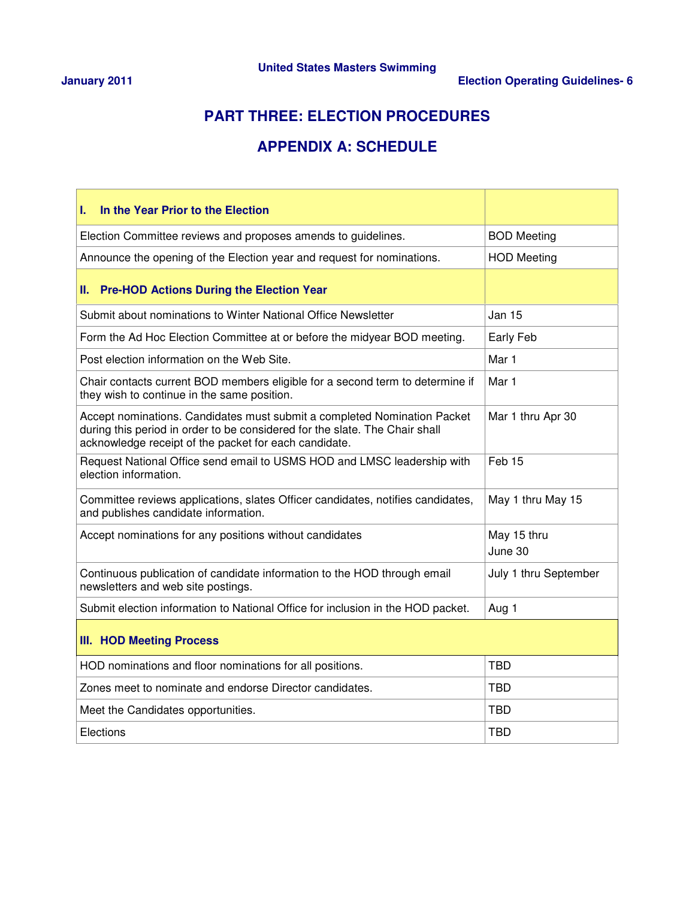# **PART THREE: ELECTION PROCEDURES**

# **APPENDIX A: SCHEDULE**

| In the Year Prior to the Election<br>L.                                                                                                                                                                          |                        |  |  |
|------------------------------------------------------------------------------------------------------------------------------------------------------------------------------------------------------------------|------------------------|--|--|
| Election Committee reviews and proposes amends to guidelines.                                                                                                                                                    | <b>BOD Meeting</b>     |  |  |
| Announce the opening of the Election year and request for nominations.                                                                                                                                           | <b>HOD Meeting</b>     |  |  |
| <b>Pre-HOD Actions During the Election Year</b><br>Ш.                                                                                                                                                            |                        |  |  |
| Submit about nominations to Winter National Office Newsletter                                                                                                                                                    | Jan 15                 |  |  |
| Form the Ad Hoc Election Committee at or before the midyear BOD meeting.                                                                                                                                         | Early Feb              |  |  |
| Post election information on the Web Site.                                                                                                                                                                       | Mar 1                  |  |  |
| Chair contacts current BOD members eligible for a second term to determine if<br>they wish to continue in the same position.                                                                                     | Mar 1                  |  |  |
| Accept nominations. Candidates must submit a completed Nomination Packet<br>during this period in order to be considered for the slate. The Chair shall<br>acknowledge receipt of the packet for each candidate. | Mar 1 thru Apr 30      |  |  |
| Request National Office send email to USMS HOD and LMSC leadership with<br>election information.                                                                                                                 | Feb <sub>15</sub>      |  |  |
| Committee reviews applications, slates Officer candidates, notifies candidates,<br>and publishes candidate information.                                                                                          | May 1 thru May 15      |  |  |
| Accept nominations for any positions without candidates                                                                                                                                                          | May 15 thru<br>June 30 |  |  |
| Continuous publication of candidate information to the HOD through email<br>newsletters and web site postings.                                                                                                   | July 1 thru September  |  |  |
| Submit election information to National Office for inclusion in the HOD packet.                                                                                                                                  | Aug 1                  |  |  |
| <b>III. HOD Meeting Process</b>                                                                                                                                                                                  |                        |  |  |
| HOD nominations and floor nominations for all positions.                                                                                                                                                         | <b>TBD</b>             |  |  |
| Zones meet to nominate and endorse Director candidates.                                                                                                                                                          | <b>TBD</b>             |  |  |
| Meet the Candidates opportunities.                                                                                                                                                                               | <b>TBD</b>             |  |  |
| Elections                                                                                                                                                                                                        | <b>TBD</b>             |  |  |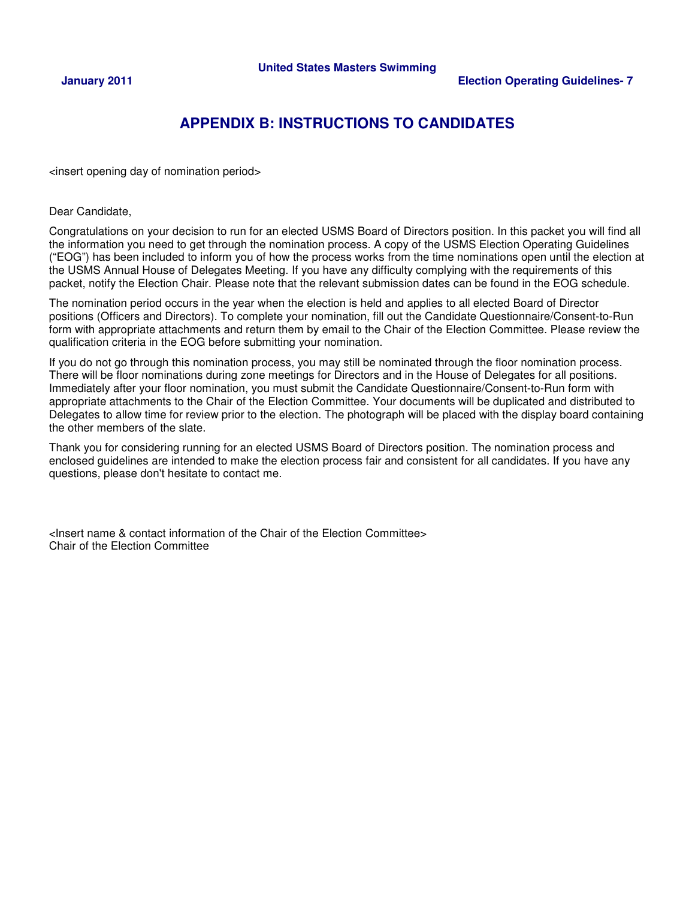# **APPENDIX B: INSTRUCTIONS TO CANDIDATES**

<insert opening day of nomination period>

Dear Candidate,

Congratulations on your decision to run for an elected USMS Board of Directors position. In this packet you will find all the information you need to get through the nomination process. A copy of the USMS Election Operating Guidelines ("EOG") has been included to inform you of how the process works from the time nominations open until the election at the USMS Annual House of Delegates Meeting. If you have any difficulty complying with the requirements of this packet, notify the Election Chair. Please note that the relevant submission dates can be found in the EOG schedule.

The nomination period occurs in the year when the election is held and applies to all elected Board of Director positions (Officers and Directors). To complete your nomination, fill out the Candidate Questionnaire/Consent-to-Run form with appropriate attachments and return them by email to the Chair of the Election Committee. Please review the qualification criteria in the EOG before submitting your nomination.

If you do not go through this nomination process, you may still be nominated through the floor nomination process. There will be floor nominations during zone meetings for Directors and in the House of Delegates for all positions. Immediately after your floor nomination, you must submit the Candidate Questionnaire/Consent-to-Run form with appropriate attachments to the Chair of the Election Committee. Your documents will be duplicated and distributed to Delegates to allow time for review prior to the election. The photograph will be placed with the display board containing the other members of the slate.

Thank you for considering running for an elected USMS Board of Directors position. The nomination process and enclosed guidelines are intended to make the election process fair and consistent for all candidates. If you have any questions, please don't hesitate to contact me.

<Insert name & contact information of the Chair of the Election Committee> Chair of the Election Committee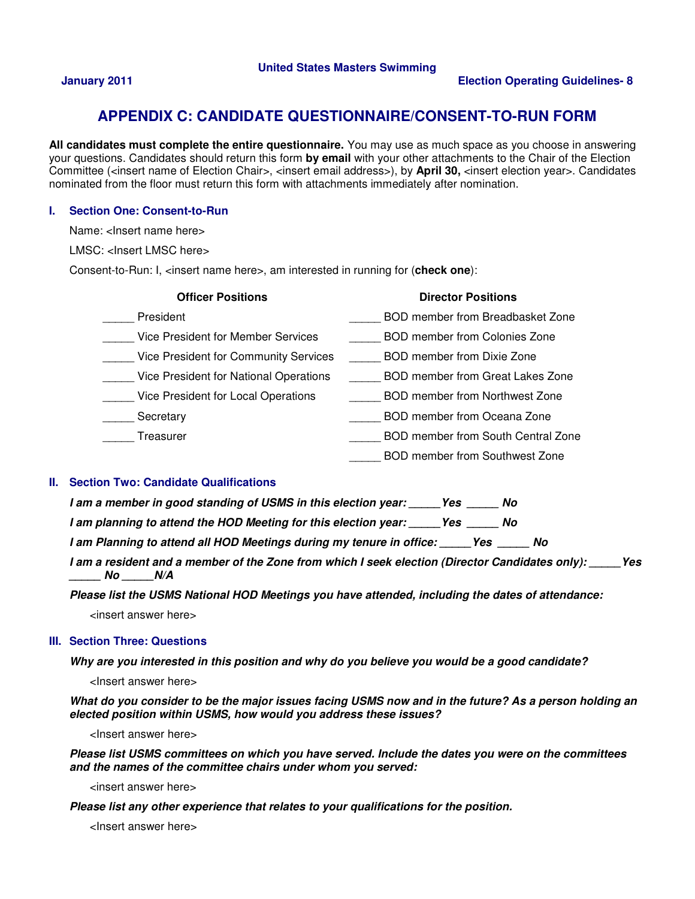## **APPENDIX C: CANDIDATE QUESTIONNAIRE/CONSENT-TO-RUN FORM**

**All candidates must complete the entire questionnaire.** You may use as much space as you choose in answering your questions. Candidates should return this form **by email** with your other attachments to the Chair of the Election Committee (<insert name of Election Chair>, <insert email address>), by **April 30,** <insert election year>. Candidates nominated from the floor must return this form with attachments immediately after nomination.

### **I. Section One: Consent-to-Run**

Name: <lnsert name here>

LMSC: <lnsert LMSC here>

Consent-to-Run: I, <insert name here>, am interested in running for (**check one**):

| <b>Officer Positions</b>                  | <b>Director Positions</b>            |
|-------------------------------------------|--------------------------------------|
| President                                 | BOD member from Breadbasket Zone     |
| <b>Vice President for Member Services</b> | <b>BOD member from Colonies Zone</b> |
| Vice President for Community Services     | BOD member from Dixie Zone           |
| Vice President for National Operations    | BOD member from Great Lakes Zone     |
| Vice President for Local Operations       | BOD member from Northwest Zone       |
| Secretary                                 | BOD member from Oceana Zone          |
| Treasurer                                 | BOD member from South Central Zone   |
|                                           | BOD member from Southwest Zone       |

### **II. Section Two: Candidate Qualifications**

| I am a member in good standing of USMS in this election year: | Yes<br>No. |  |
|---------------------------------------------------------------|------------|--|
|---------------------------------------------------------------|------------|--|

**I** am planning to attend the HOD Meeting for this election year: Yes No

**I am Planning to attend all HOD Meetings during my tenure in office: \_\_\_\_\_Yes \_\_\_\_\_ No** 

**I am a resident and a member of the Zone from which I seek election (Director Candidates only): \_\_\_\_\_Yes \_\_\_\_\_ No \_\_\_\_\_N/A** 

**Please list the USMS National HOD Meetings you have attended, including the dates of attendance:** 

<insert answer here>

### **III. Section Three: Questions**

**Why are you interested in this position and why do you believe you would be a good candidate?** 

<Insert answer here>

**What do you consider to be the major issues facing USMS now and in the future? As a person holding an elected position within USMS, how would you address these issues?** 

<Insert answer here>

**Please list USMS committees on which you have served. Include the dates you were on the committees and the names of the committee chairs under whom you served:** 

<insert answer here>

**Please list any other experience that relates to your qualifications for the position.** 

<Insert answer here>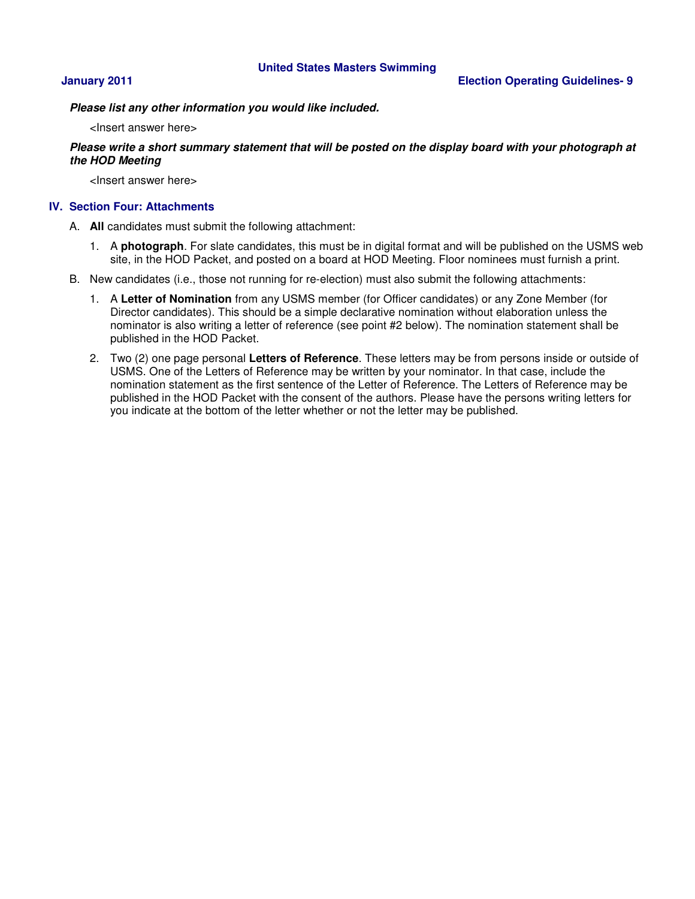**Please list any other information you would like included.** 

<Insert answer here>

### **Please write a short summary statement that will be posted on the display board with your photograph at the HOD Meeting**

<Insert answer here>

### **IV. Section Four: Attachments**

- A. **All** candidates must submit the following attachment:
	- 1. A **photograph**. For slate candidates, this must be in digital format and will be published on the USMS web site, in the HOD Packet, and posted on a board at HOD Meeting. Floor nominees must furnish a print.
- B. New candidates (i.e., those not running for re-election) must also submit the following attachments:
	- 1. A **Letter of Nomination** from any USMS member (for Officer candidates) or any Zone Member (for Director candidates). This should be a simple declarative nomination without elaboration unless the nominator is also writing a letter of reference (see point #2 below). The nomination statement shall be published in the HOD Packet.
	- 2. Two (2) one page personal **Letters of Reference**. These letters may be from persons inside or outside of USMS. One of the Letters of Reference may be written by your nominator. In that case, include the nomination statement as the first sentence of the Letter of Reference. The Letters of Reference may be published in the HOD Packet with the consent of the authors. Please have the persons writing letters for you indicate at the bottom of the letter whether or not the letter may be published.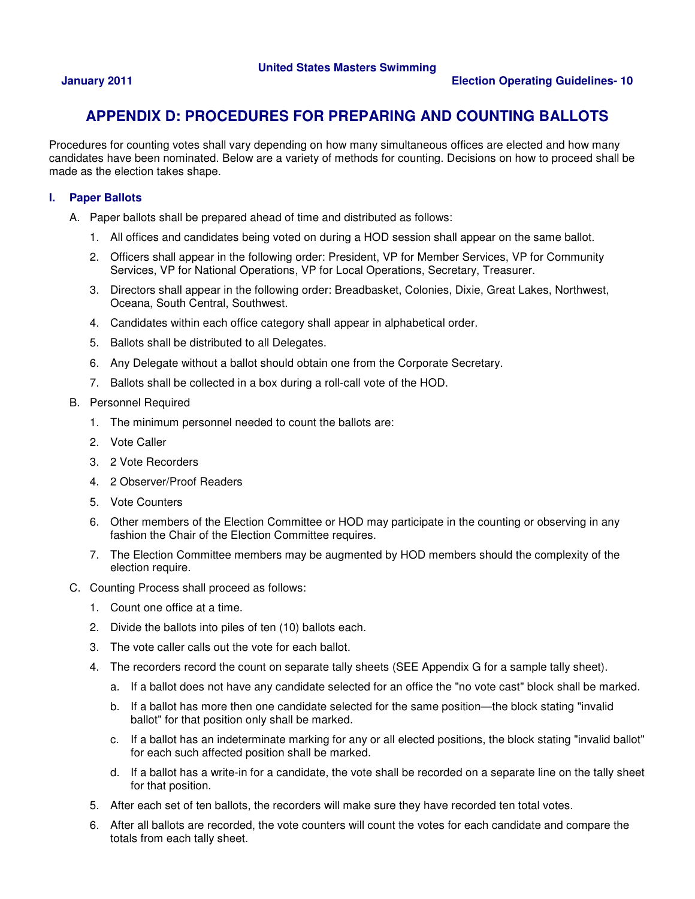# **APPENDIX D: PROCEDURES FOR PREPARING AND COUNTING BALLOTS**

Procedures for counting votes shall vary depending on how many simultaneous offices are elected and how many candidates have been nominated. Below are a variety of methods for counting. Decisions on how to proceed shall be made as the election takes shape.

### **I. Paper Ballots**

- A. Paper ballots shall be prepared ahead of time and distributed as follows:
	- 1. All offices and candidates being voted on during a HOD session shall appear on the same ballot.
	- 2. Officers shall appear in the following order: President, VP for Member Services, VP for Community Services, VP for National Operations, VP for Local Operations, Secretary, Treasurer.
	- 3. Directors shall appear in the following order: Breadbasket, Colonies, Dixie, Great Lakes, Northwest, Oceana, South Central, Southwest.
	- 4. Candidates within each office category shall appear in alphabetical order.
	- 5. Ballots shall be distributed to all Delegates.
	- 6. Any Delegate without a ballot should obtain one from the Corporate Secretary.
	- 7. Ballots shall be collected in a box during a roll-call vote of the HOD.
- B. Personnel Required
	- 1. The minimum personnel needed to count the ballots are:
	- 2. Vote Caller
	- 3. 2 Vote Recorders
	- 4. 2 Observer/Proof Readers
	- 5. Vote Counters
	- 6. Other members of the Election Committee or HOD may participate in the counting or observing in any fashion the Chair of the Election Committee requires.
	- 7. The Election Committee members may be augmented by HOD members should the complexity of the election require.
- C. Counting Process shall proceed as follows:
	- 1. Count one office at a time.
	- 2. Divide the ballots into piles of ten (10) ballots each.
	- 3. The vote caller calls out the vote for each ballot.
	- 4. The recorders record the count on separate tally sheets (SEE Appendix G for a sample tally sheet).
		- a. If a ballot does not have any candidate selected for an office the "no vote cast" block shall be marked.
		- b. If a ballot has more then one candidate selected for the same position—the block stating "invalid ballot" for that position only shall be marked.
		- c. If a ballot has an indeterminate marking for any or all elected positions, the block stating "invalid ballot" for each such affected position shall be marked.
		- d. If a ballot has a write-in for a candidate, the vote shall be recorded on a separate line on the tally sheet for that position.
	- 5. After each set of ten ballots, the recorders will make sure they have recorded ten total votes.
	- 6. After all ballots are recorded, the vote counters will count the votes for each candidate and compare the totals from each tally sheet.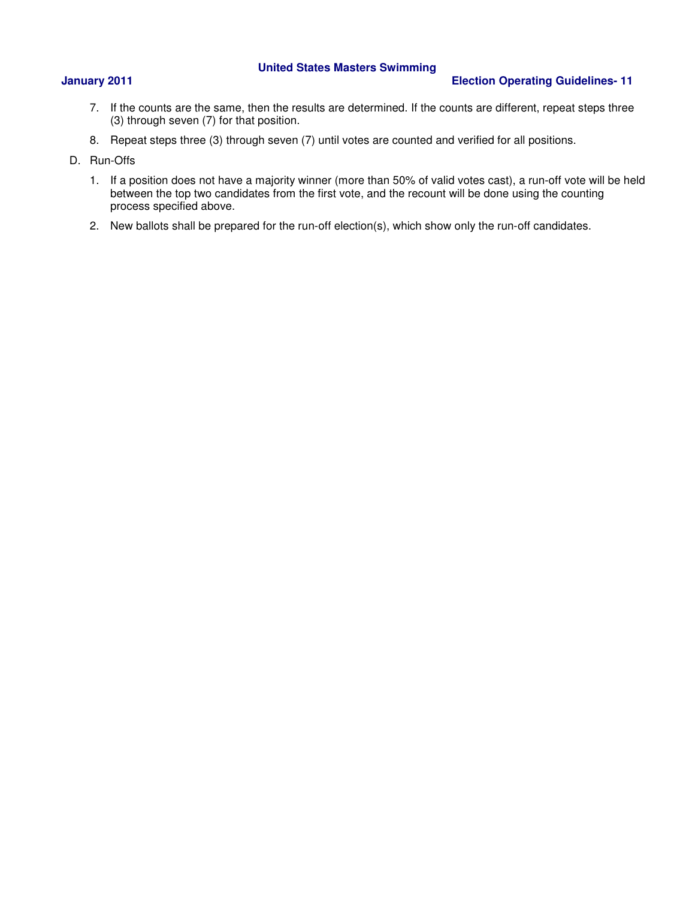### **January 2011 Election Operating Guidelines- 11**

- 7. If the counts are the same, then the results are determined. If the counts are different, repeat steps three (3) through seven (7) for that position.
- 8. Repeat steps three (3) through seven (7) until votes are counted and verified for all positions.
- D. Run-Offs
	- 1. If a position does not have a majority winner (more than 50% of valid votes cast), a run-off vote will be held between the top two candidates from the first vote, and the recount will be done using the counting process specified above.
	- 2. New ballots shall be prepared for the run-off election(s), which show only the run-off candidates.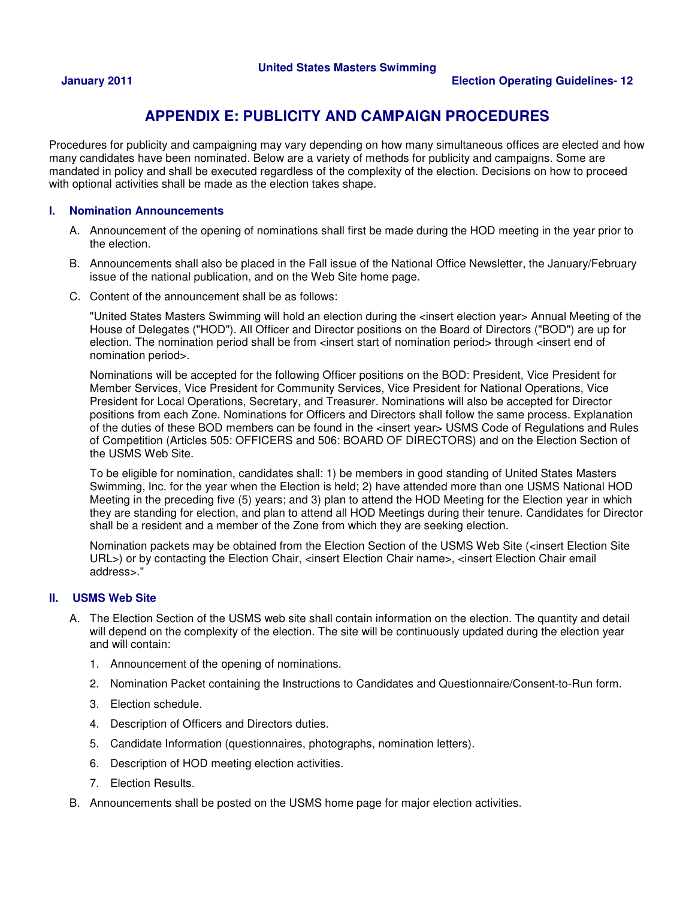# **APPENDIX E: PUBLICITY AND CAMPAIGN PROCEDURES**

Procedures for publicity and campaigning may vary depending on how many simultaneous offices are elected and how many candidates have been nominated. Below are a variety of methods for publicity and campaigns. Some are mandated in policy and shall be executed regardless of the complexity of the election. Decisions on how to proceed with optional activities shall be made as the election takes shape.

### **I. Nomination Announcements**

- A. Announcement of the opening of nominations shall first be made during the HOD meeting in the year prior to the election.
- B. Announcements shall also be placed in the Fall issue of the National Office Newsletter, the January/February issue of the national publication, and on the Web Site home page.
- C. Content of the announcement shall be as follows:

"United States Masters Swimming will hold an election during the <insert election year> Annual Meeting of the House of Delegates ("HOD"). All Officer and Director positions on the Board of Directors ("BOD") are up for election. The nomination period shall be from <insert start of nomination period> through <insert end of nomination period>.

Nominations will be accepted for the following Officer positions on the BOD: President, Vice President for Member Services, Vice President for Community Services, Vice President for National Operations, Vice President for Local Operations, Secretary, and Treasurer. Nominations will also be accepted for Director positions from each Zone. Nominations for Officers and Directors shall follow the same process. Explanation of the duties of these BOD members can be found in the <insert year> USMS Code of Regulations and Rules of Competition (Articles 505: OFFICERS and 506: BOARD OF DIRECTORS) and on the Election Section of the USMS Web Site.

To be eligible for nomination, candidates shall: 1) be members in good standing of United States Masters Swimming, Inc. for the year when the Election is held; 2) have attended more than one USMS National HOD Meeting in the preceding five (5) years; and 3) plan to attend the HOD Meeting for the Election year in which they are standing for election, and plan to attend all HOD Meetings during their tenure. Candidates for Director shall be a resident and a member of the Zone from which they are seeking election.

Nomination packets may be obtained from the Election Section of the USMS Web Site (<insert Election Site URL>) or by contacting the Election Chair, <insert Election Chair name>, <insert Election Chair email address>."

### **II. USMS Web Site**

- A. The Election Section of the USMS web site shall contain information on the election. The quantity and detail will depend on the complexity of the election. The site will be continuously updated during the election year and will contain:
	- 1. Announcement of the opening of nominations.
	- 2. Nomination Packet containing the Instructions to Candidates and Questionnaire/Consent-to-Run form.
	- 3. Election schedule.
	- 4. Description of Officers and Directors duties.
	- 5. Candidate Information (questionnaires, photographs, nomination letters).
	- 6. Description of HOD meeting election activities.
	- 7. Election Results.
- B. Announcements shall be posted on the USMS home page for major election activities.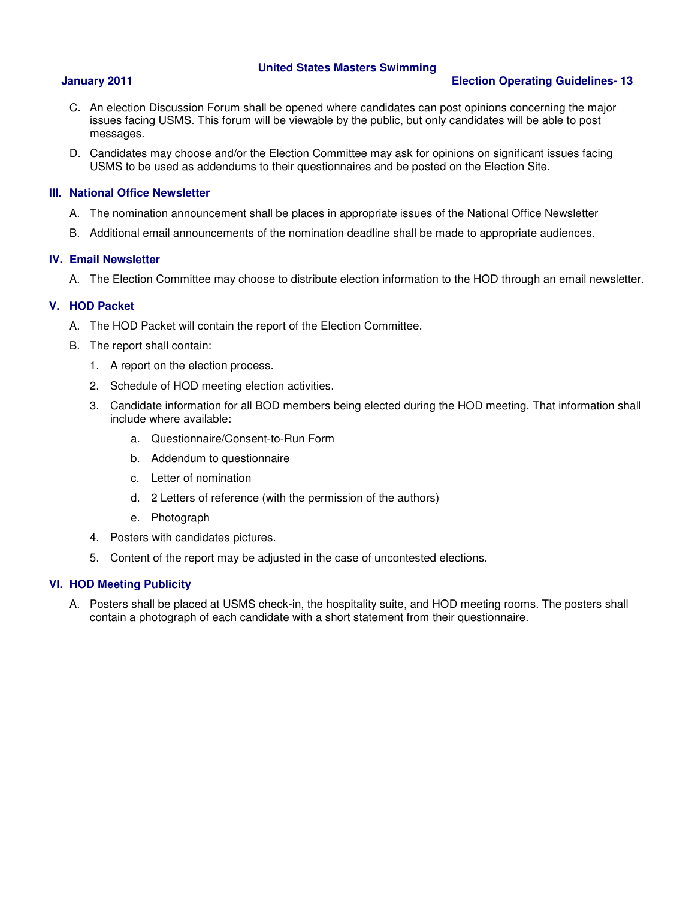### **January 2011 Election Operating Guidelines- 13**

- C. An election Discussion Forum shall be opened where candidates can post opinions concerning the major issues facing USMS. This forum will be viewable by the public, but only candidates will be able to post messages.
- D. Candidates may choose and/or the Election Committee may ask for opinions on significant issues facing USMS to be used as addendums to their questionnaires and be posted on the Election Site.

### **III. National Office Newsletter**

- A. The nomination announcement shall be places in appropriate issues of the National Office Newsletter
- B. Additional email announcements of the nomination deadline shall be made to appropriate audiences.

### **IV. Email Newsletter**

A. The Election Committee may choose to distribute election information to the HOD through an email newsletter.

### **V. HOD Packet**

- A. The HOD Packet will contain the report of the Election Committee.
- B. The report shall contain:
	- 1. A report on the election process.
	- 2. Schedule of HOD meeting election activities.
	- 3. Candidate information for all BOD members being elected during the HOD meeting. That information shall include where available:
		- a. Questionnaire/Consent-to-Run Form
		- b. Addendum to questionnaire
		- c. Letter of nomination
		- d. 2 Letters of reference (with the permission of the authors)
		- e. Photograph
	- 4. Posters with candidates pictures.
	- 5. Content of the report may be adjusted in the case of uncontested elections.

### **VI. HOD Meeting Publicity**

A. Posters shall be placed at USMS check-in, the hospitality suite, and HOD meeting rooms. The posters shall contain a photograph of each candidate with a short statement from their questionnaire.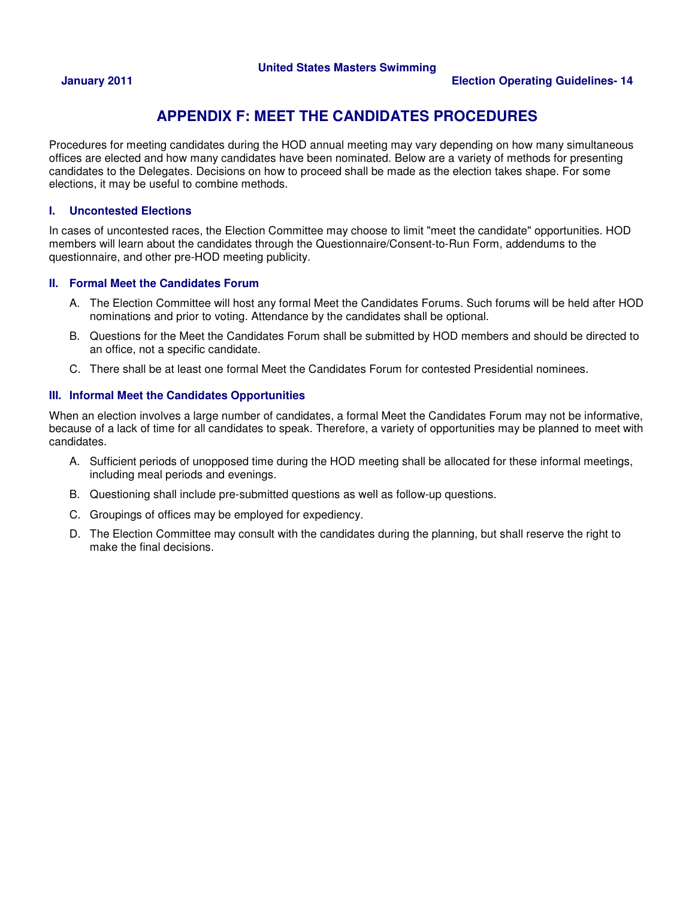# **APPENDIX F: MEET THE CANDIDATES PROCEDURES**

Procedures for meeting candidates during the HOD annual meeting may vary depending on how many simultaneous offices are elected and how many candidates have been nominated. Below are a variety of methods for presenting candidates to the Delegates. Decisions on how to proceed shall be made as the election takes shape. For some elections, it may be useful to combine methods.

### **I. Uncontested Elections**

In cases of uncontested races, the Election Committee may choose to limit "meet the candidate" opportunities. HOD members will learn about the candidates through the Questionnaire/Consent-to-Run Form, addendums to the questionnaire, and other pre-HOD meeting publicity.

### **II. Formal Meet the Candidates Forum**

- A. The Election Committee will host any formal Meet the Candidates Forums. Such forums will be held after HOD nominations and prior to voting. Attendance by the candidates shall be optional.
- B. Questions for the Meet the Candidates Forum shall be submitted by HOD members and should be directed to an office, not a specific candidate.
- C. There shall be at least one formal Meet the Candidates Forum for contested Presidential nominees.

### **III. Informal Meet the Candidates Opportunities**

When an election involves a large number of candidates, a formal Meet the Candidates Forum may not be informative, because of a lack of time for all candidates to speak. Therefore, a variety of opportunities may be planned to meet with candidates.

- A. Sufficient periods of unopposed time during the HOD meeting shall be allocated for these informal meetings, including meal periods and evenings.
- B. Questioning shall include pre-submitted questions as well as follow-up questions.
- C. Groupings of offices may be employed for expediency.
- D. The Election Committee may consult with the candidates during the planning, but shall reserve the right to make the final decisions.